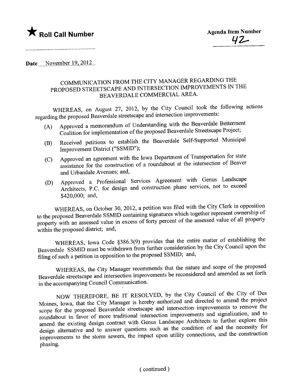

..........\_\_.......................................

Date  $\frac{\text{November }19,2012...}{\text{November }19,2012...}$ 

## COMMUNICATION FROM THE CITY MANAGER REGARDING THE PROPOSED STREETSCAPE AND INTERSECTION IMPROVEMENTS IN THE BEAVERDALE COMMERCIAL AREA.

WHEREAS, on August 27, 2012, by the City Council took the following actions regarding the proposed Beaverdale streetscape and intersection improvements:<br>(A) Approved a memorandum of Understanding with the Beaverdale Betterment

- (A) Approved a memorandum of Understanding with the Beaverdale Streetscane Project: Coalition for implementation of the proposed Beaverdale Streetscape Project;
- (B) Received petitions to establish the Beaverdale Self-Supported Municipal
- Improvement District ("SSMID");<br>Approved an agreement with the Iowa Department of Transportation for state (C) Approved an agreement with the Iowa Department of Transportation of Reaver assistance for the construction of a roundabout at the intersection of Beaver
- and Urbandale Avenues; and,<br>Approved a Professional Services Agreement with Genus Landscape (D) Approved a Professional Services Agreement with Genus Landscape Architects, P.C. for design and construction phase services, not to exected \$420,000; and,

WHEREAS, on October 30, 2012, a petition was filed with the City Clerk in opposition to the proposed Beaverdale SSMID containing signatures which together represent ownership of property with an assessed value in excess of forty percent of the assessed value of all property within the proposed district; and,

WHEREAS, Iowa Code §386.3(9) provides that the entire matter of establishing the Beaverdale SSMID must be withdrawn from further consideration by the City Council upon the filing of such a petition in opposition to the proposed SSMID; and,

WHEREAS, the City Manager recommends that the nature and scope of the proposed Beaverdale streetscape and intersection improvements be reconsidered and amended as set forth in the accompanying Council Communication.

NOW THEREFORE, BE IT RESOLVED, by the City Council of the City of Des Moines, Iowa, that the City Manager is hereby authorized and directed to amend the project scope for the proposed Beaverdale streetscape and intersection improvements to remove the roundabout in favor of more traditional intersection improvements and signalization, and to amend the existing design contract with Genus Landscape Architects to further explore this design alternative and to answer questions such as the condition of and the necessity for improvements to the storm sewers, the impact upon utility connections, and the construction phasing.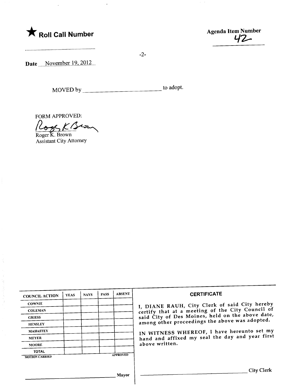



....................................................

Date \_\_\_November 19, 2012.

MOVED by to adopt.

-2-

FORM APPROVED:<br>Cogs K (Serm

Assistant City Attorney

 $\frac{1}{2}$ 

ş

| <b>COUNCIL ACTION</b> | <b>YEAS</b> | <b>NAYS</b> | <b>PASS</b> | <b>ABSENT</b>   | <b>CERTIFICATE</b>                                                                                                                                                                                                                                                        |
|-----------------------|-------------|-------------|-------------|-----------------|---------------------------------------------------------------------------------------------------------------------------------------------------------------------------------------------------------------------------------------------------------------------------|
| <b>COWNIE</b>         |             |             |             |                 | I, DIANE RAUH, City Clerk of said City hereby                                                                                                                                                                                                                             |
| <b>COLEMAN</b>        |             |             |             |                 | certify that at a meeting of the City Council of<br>said City of Des Moines, held on the above date,<br>among other proceedings the above was adopted.<br>IN WITNESS WHEREOF, I have hereunto set my<br>hand and affixed my seal the day and year first<br>above written. |
| <b>GRIESS</b>         |             |             |             |                 |                                                                                                                                                                                                                                                                           |
| <b>HENSLEY</b>        |             |             |             |                 |                                                                                                                                                                                                                                                                           |
| <b>MAHAFFEY</b>       |             |             |             |                 |                                                                                                                                                                                                                                                                           |
| <b>MEYER</b>          |             |             |             |                 |                                                                                                                                                                                                                                                                           |
| <b>MOORE</b>          |             |             |             |                 |                                                                                                                                                                                                                                                                           |
| <b>TOTAL</b>          |             |             |             | <b>APPROVED</b> |                                                                                                                                                                                                                                                                           |
| <b>MOTION CARRIED</b> |             |             |             |                 |                                                                                                                                                                                                                                                                           |
|                       |             |             |             |                 |                                                                                                                                                                                                                                                                           |
|                       |             |             |             |                 | <b>City Clerk</b>                                                                                                                                                                                                                                                         |
|                       |             |             |             | Mayor           |                                                                                                                                                                                                                                                                           |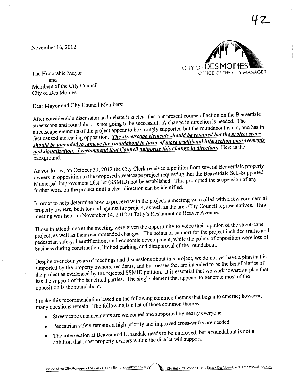November  $16, 2012$ 



42

The Honorable Mayor and Members of the City Council City of Des Moines

Dear Mayor and City Council Members:

After considerable discussion and debate it is clear that our present course of action on the Beaverdale streetscape and roundabout is not going to be successfuL. A change in direction is needed. The streetscape elements of the project appear to be strongly supported but the roundabout is not, and has in fact caused increasing opposition. The streetscape elements should be retained but the project scope should be amended to remove the roundabout in favor of more traditional intersection improvements and signalization. I recommend that Council authorize this change in direction. Here is the background.

As you know, on October 30, 2012 the City Clerk received a petition from several Beaverdale property owners in opposition to the proposed streetscape project requesting that the Beaverdale Self-Supported Municipal Improvement District (SSMID) not be established. This prompted the suspension of any further work on the project until a clear direction can be identified.

In order to help determine how to proceed with the project, a meeting was called with a few commercial property owners, both for and against the project, as well as the area City Council representatives. This meeting was held on November 14,2012 at Tally's Restaurant on Beaver Avenue.

Those in attendance at the meeting were given the opportunity to voice their opinion of the streetscape project, as well as their recommended changes. The points of support for the project included traffic and project, as well as their recommended changes. The points of suppose for the project as well as then prove pedestrian safety, beautification, and economic development, while the points of  $f_{\rm F}$ business during construction, limited parking, and disapproval of the roundabout.

Despite over four years of meetings and discussions about this project, we do not yet have a plan that is supported by the property owners, residents, and businesses that are intended to be the beneficiaries of supported by the property owners, residents, and businesses that are intended to be the business a plan th the project as evidenced by the rejected SSMID petition. It is essential that we work that the has the support of the benefited paines. The single clear that  $\cdots$ the opposition is the roundabout.

I make this recommendation based on the following common themes that began to emerge; however, many questions remain. The following is a list of those common themes:

- . Streetscape enhancements are welcomed and supported by nearly everyone.
- . Pedestrian safety remains a high priority and improved cross-walks are needed.
- . The intersection at Beaver and Urbandale needs to be improved, but a roundabout is not a solution that most property owners within the district will support.